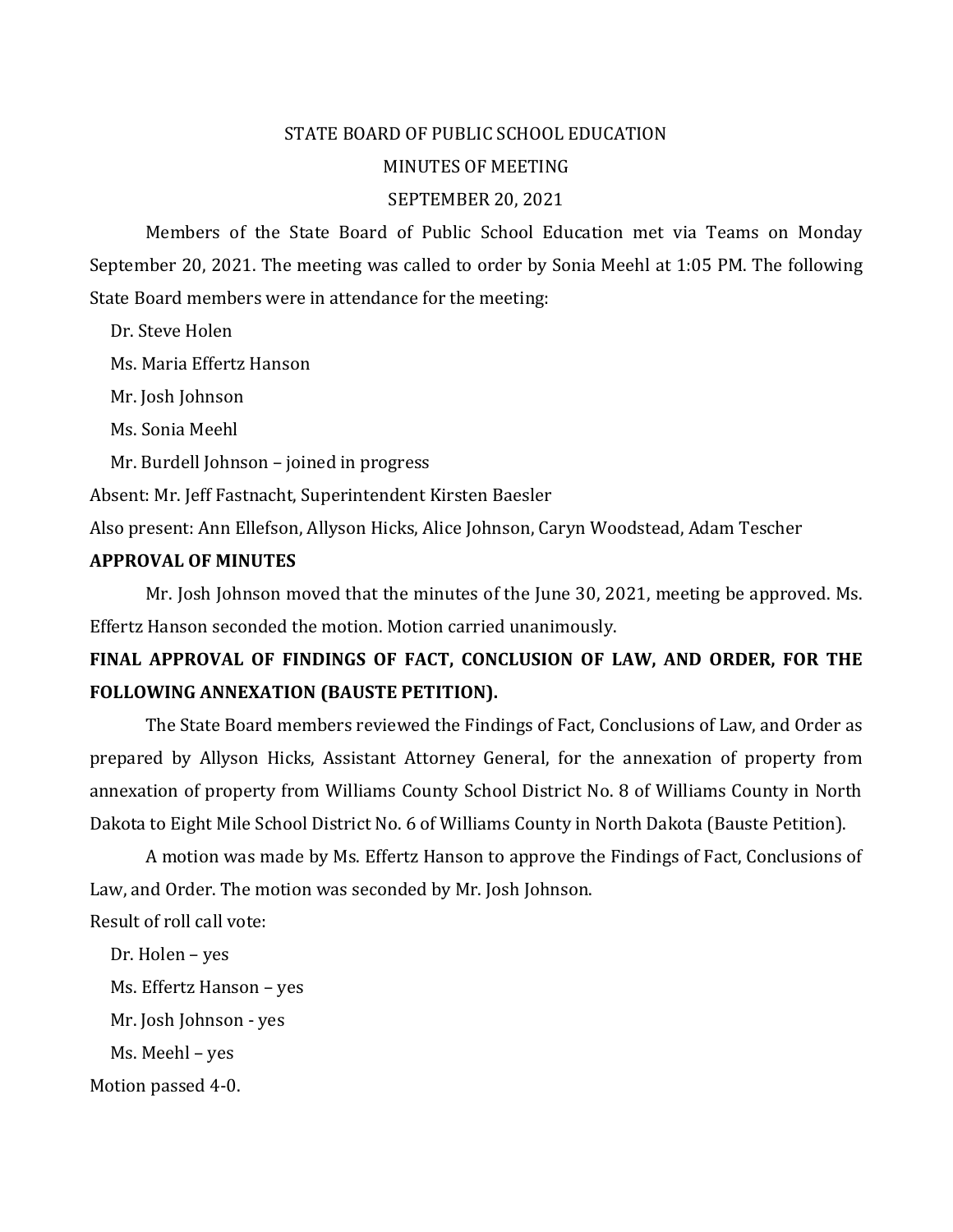# STATE BOARD OF PUBLIC SCHOOL EDUCATION MINUTES OF MEETING

### SEPTEMBER 20, 2021

Members of the State Board of Public School Education met via Teams on Monday September 20, 2021. The meeting was called to order by Sonia Meehl at 1:05 PM. The following State Board members were in attendance for the meeting:

Dr. Steve Holen

Ms. Maria Effertz Hanson

Mr. Josh Johnson

Ms. Sonia Meehl

Mr. Burdell Johnson – joined in progress

Absent: Mr. Jeff Fastnacht, Superintendent Kirsten Baesler

Also present: Ann Ellefson, Allyson Hicks, Alice Johnson, Caryn Woodstead, Adam Tescher

### **APPROVAL OF MINUTES**

Mr. Josh Johnson moved that the minutes of the June 30, 2021, meeting be approved. Ms. Effertz Hanson seconded the motion. Motion carried unanimously.

# **FINAL APPROVAL OF FINDINGS OF FACT, CONCLUSION OF LAW, AND ORDER, FOR THE FOLLOWING ANNEXATION (BAUSTE PETITION).**

The State Board members reviewed the Findings of Fact, Conclusions of Law, and Order as prepared by Allyson Hicks, Assistant Attorney General, for the annexation of property from annexation of property from Williams County School District No. 8 of Williams County in North Dakota to Eight Mile School District No. 6 of Williams County in North Dakota (Bauste Petition).

A motion was made by Ms. Effertz Hanson to approve the Findings of Fact, Conclusions of Law, and Order. The motion was seconded by Mr. Josh Johnson. Result of roll call vote:

 Dr. Holen – yes Ms. Effertz Hanson – yes Mr. Josh Johnson - yes Ms. Meehl – yes Motion passed 4-0.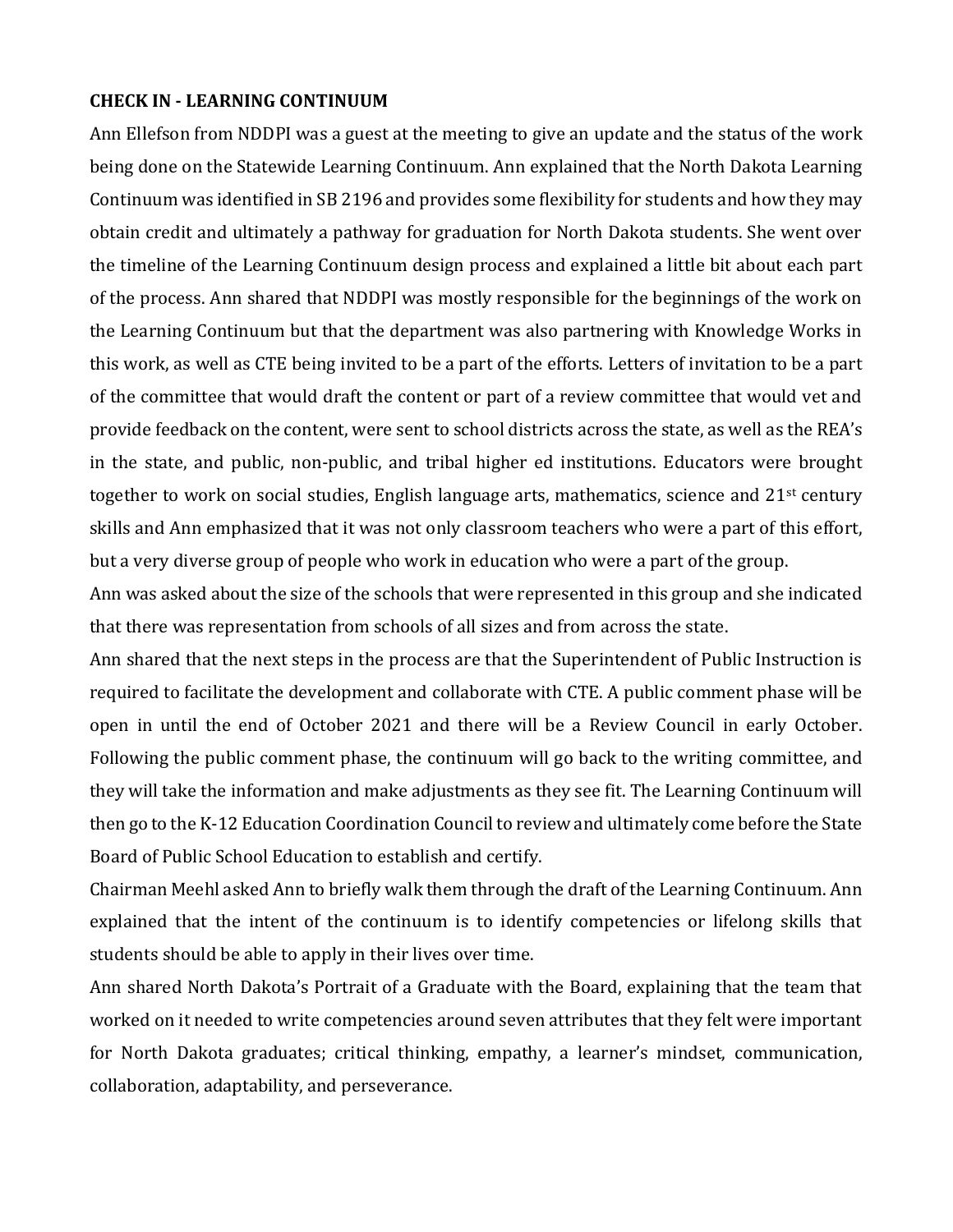#### **CHECK IN - LEARNING CONTINUUM**

Ann Ellefson from NDDPI was a guest at the meeting to give an update and the status of the work being done on the Statewide Learning Continuum. Ann explained that the North Dakota Learning Continuum was identified in SB 2196 and provides some flexibility for students and how they may obtain credit and ultimately a pathway for graduation for North Dakota students. She went over the timeline of the Learning Continuum design process and explained a little bit about each part of the process. Ann shared that NDDPI was mostly responsible for the beginnings of the work on the Learning Continuum but that the department was also partnering with Knowledge Works in this work, as well as CTE being invited to be a part of the efforts. Letters of invitation to be a part of the committee that would draft the content or part of a review committee that would vet and provide feedback on the content, were sent to school districts across the state, as well as the REA's in the state, and public, non-public, and tribal higher ed institutions. Educators were brought together to work on social studies, English language arts, mathematics, science and 21<sup>st</sup> century skills and Ann emphasized that it was not only classroom teachers who were a part of this effort, but a very diverse group of people who work in education who were a part of the group.

Ann was asked about the size of the schools that were represented in this group and she indicated that there was representation from schools of all sizes and from across the state.

Ann shared that the next steps in the process are that the Superintendent of Public Instruction is required to facilitate the development and collaborate with CTE. A public comment phase will be open in until the end of October 2021 and there will be a Review Council in early October. Following the public comment phase, the continuum will go back to the writing committee, and they will take the information and make adjustments as they see fit. The Learning Continuum will then go to the K-12 Education Coordination Council to review and ultimately come before the State Board of Public School Education to establish and certify.

Chairman Meehl asked Ann to briefly walk them through the draft of the Learning Continuum. Ann explained that the intent of the continuum is to identify competencies or lifelong skills that students should be able to apply in their lives over time.

Ann shared North Dakota's Portrait of a Graduate with the Board, explaining that the team that worked on it needed to write competencies around seven attributes that they felt were important for North Dakota graduates; critical thinking, empathy, a learner's mindset, communication, collaboration, adaptability, and perseverance.